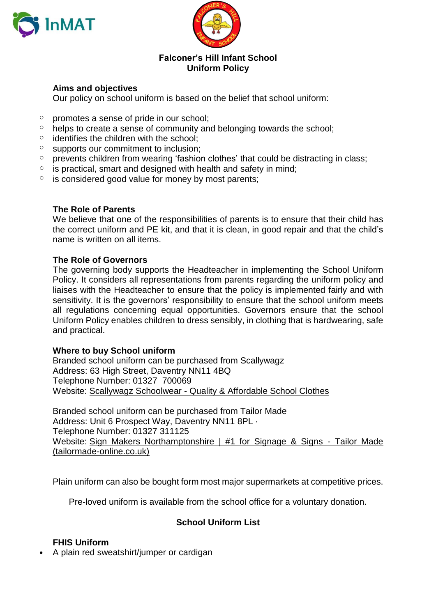



### **Falconer's Hill Infant School Uniform Policy**

# **Aims and objectives**

Our policy on school uniform is based on the belief that school uniform:

- $\circ$  promotes a sense of pride in our school;
- $\circ$  helps to create a sense of community and belonging towards the school;
- $\circ$  identifies the children with the school;
- o supports our commitment to inclusion;
- o prevents children from wearing 'fashion clothes' that could be distracting in class;
- $\circ$  is practical, smart and designed with health and safety in mind;
- $\circ$  is considered good value for money by most parents;

# **The Role of Parents**

We believe that one of the responsibilities of parents is to ensure that their child has the correct uniform and PE kit, and that it is clean, in good repair and that the child's name is written on all items.

# **The Role of Governors**

The governing body supports the Headteacher in implementing the School Uniform Policy. It considers all representations from parents regarding the uniform policy and liaises with the Headteacher to ensure that the policy is implemented fairly and with sensitivity. It is the governors' responsibility to ensure that the school uniform meets all regulations concerning equal opportunities. Governors ensure that the school Uniform Policy enables children to dress sensibly, in clothing that is hardwearing, safe and practical.

#### **Where to buy School uniform**

Branded school uniform can be purchased from Scallywagz Address: [63 High Street, Daventry NN11 4BQ](https://www.bing.com/local?lid=YN1070x220220120&id=YN1070x220220120&q=Scallywagz&name=Scallywagz&cp=52.25761413574219%7e-1.163676142692566&ppois=52.25761413574219_-1.163676142692566_Scallywagz) Telephone Number: 01327 700069 Website: Scallywagz Schoolwear - [Quality & Affordable School Clothes](https://scallywagz.co.uk/)

Branded school uniform can be purchased from Tailor Made Address: [Unit 6 Prospect Way, Daventry NN11 8PL](https://www.bing.com/local?lid=YN1029x6057730271436474596&id=YN1029x6057730271436474596&q=Tailor+Made+Embroidery+%26+Printing&name=Tailor+Made+Embroidery+%26+Printing&cp=52.26457214355469%7e-1.1827059984207153&ppois=52.26457214355469_-1.1827059984207153_Tailor+Made+Embroidery+%26+Printing) · Telephone Number: 01327 311125 Website: [Sign Makers Northamptonshire | #1 for Signage & Signs -](https://www.tailormade-online.co.uk/) Tailor Made [\(tailormade-online.co.uk\)](https://www.tailormade-online.co.uk/)

Plain uniform can also be bought form most major supermarkets at competitive prices.

Pre-loved uniform is available from the school office for a voluntary donation.

# **School Uniform List**

# **FHIS Uniform**

• A plain red sweatshirt/jumper or cardigan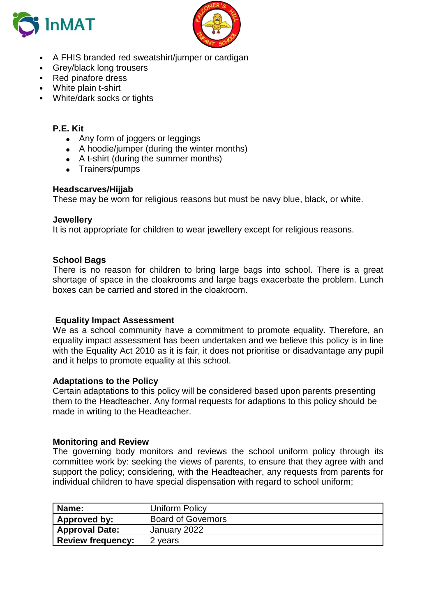



- A FHIS branded red sweatshirt/jumper or cardigan
- Grey/black long trousers
- Red pinafore dress
- White plain t-shirt
- White/dark socks or tights

### **P.E. Kit**

- Any form of joggers or leggings
- A hoodie/jumper (during the winter months)
- A t-shirt (during the summer months)
- Trainers/pumps

# **Headscarves/Hijjab**

These may be worn for religious reasons but must be navy blue, black, or white.

#### **Jewellery**

It is not appropriate for children to wear jewellery except for religious reasons.

#### **School Bags**

There is no reason for children to bring large bags into school. There is a great shortage of space in the cloakrooms and large bags exacerbate the problem. Lunch boxes can be carried and stored in the cloakroom.

#### **Equality Impact Assessment**

We as a school community have a commitment to promote equality. Therefore, an equality impact assessment has been undertaken and we believe this policy is in line with the Equality Act 2010 as it is fair, it does not prioritise or disadvantage any pupil and it helps to promote equality at this school.

#### **Adaptations to the Policy**

Certain adaptations to this policy will be considered based upon parents presenting them to the Headteacher. Any formal requests for adaptions to this policy should be made in writing to the Headteacher.

#### **Monitoring and Review**

The governing body monitors and reviews the school uniform policy through its committee work by: seeking the views of parents, to ensure that they agree with and support the policy; considering, with the Headteacher, any requests from parents for individual children to have special dispensation with regard to school uniform;

| Name:                    | <b>Uniform Policy</b>     |
|--------------------------|---------------------------|
| Approved by:             | <b>Board of Governors</b> |
| <b>Approval Date:</b>    | January 2022              |
| <b>Review frequency:</b> | 2 years                   |